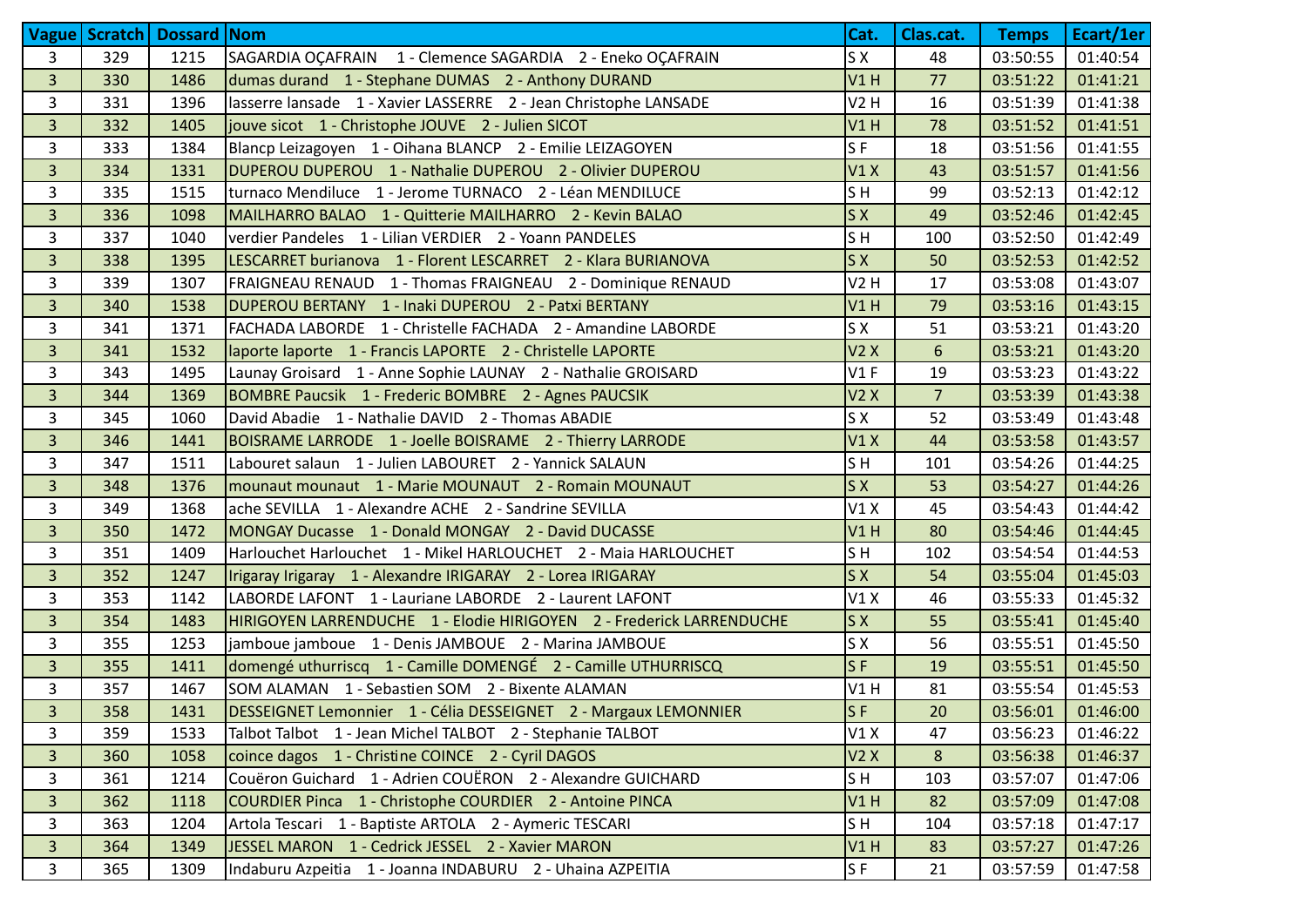|                |     | Vague   Scratch   Dossard   Nom |                                                                      | Cat.           | Clas.cat.      | <b>Temps</b> | Ecart/1er |
|----------------|-----|---------------------------------|----------------------------------------------------------------------|----------------|----------------|--------------|-----------|
| 3              | 329 | 1215                            | SAGARDIA OÇAFRAIN 1 - Clemence SAGARDIA 2 - Eneko OÇAFRAIN           | S X            | 48             | 03:50:55     | 01:40:54  |
| $\overline{3}$ | 330 | 1486                            | dumas durand 1 - Stephane DUMAS 2 - Anthony DURAND                   | V1H            | 77             | 03:51:22     | 01:41:21  |
| 3              | 331 | 1396                            | lasserre lansade 1 - Xavier LASSERRE 2 - Jean Christophe LANSADE     | V2H            | 16             | 03:51:39     | 01:41:38  |
| $\overline{3}$ | 332 | 1405                            | jouve sicot 1 - Christophe JOUVE 2 - Julien SICOT                    | V1H            | 78             | 03:51:52     | 01:41:51  |
| 3              | 333 | 1384                            | Blancp Leizagoyen 1 - Oihana BLANCP 2 - Emilie LEIZAGOYEN            | SF             | 18             | 03:51:56     | 01:41:55  |
| $\overline{3}$ | 334 | 1331                            | DUPEROU DUPEROU 1 - Nathalie DUPEROU 2 - Olivier DUPEROU             | V1X            | 43             | 03:51:57     | 01:41:56  |
| 3              | 335 | 1515                            | turnaco Mendiluce 1 - Jerome TURNACO 2 - Léan MENDILUCE              | S <sub>H</sub> | 99             | 03:52:13     | 01:42:12  |
| $\overline{3}$ | 336 | 1098                            | MAILHARRO BALAO 1 - Quitterie MAILHARRO 2 - Kevin BALAO              | S X            | 49             | 03:52:46     | 01:42:45  |
| 3              | 337 | 1040                            | verdier Pandeles 1 - Lilian VERDIER 2 - Yoann PANDELES               | S <sub>H</sub> | 100            | 03:52:50     | 01:42:49  |
| $\overline{3}$ | 338 | 1395                            | LESCARRET burianova 1 - Florent LESCARRET 2 - Klara BURIANOVA        | S X            | 50             | 03:52:53     | 01:42:52  |
| 3              | 339 | 1307                            | FRAIGNEAU RENAUD 1 - Thomas FRAIGNEAU 2 - Dominique RENAUD           | V2H            | 17             | 03:53:08     | 01:43:07  |
| $\overline{3}$ | 340 | 1538                            | DUPEROU BERTANY 1 - Inaki DUPEROU 2 - Patxi BERTANY                  | V1H            | 79             | 03:53:16     | 01:43:15  |
| 3              | 341 | 1371                            | FACHADA LABORDE 1 - Christelle FACHADA 2 - Amandine LABORDE          | S X            | 51             | 03:53:21     | 01:43:20  |
| $\overline{3}$ | 341 | 1532                            | laporte laporte 1 - Francis LAPORTE 2 - Christelle LAPORTE           | V2X            | 6              | 03:53:21     | 01:43:20  |
| 3              | 343 | 1495                            | Launay Groisard 1 - Anne Sophie LAUNAY 2 - Nathalie GROISARD         | V1F            | 19             | 03:53:23     | 01:43:22  |
| $\overline{3}$ | 344 | 1369                            | BOMBRE Paucsik 1 - Frederic BOMBRE 2 - Agnes PAUCSIK                 | V2X            | $\overline{7}$ | 03:53:39     | 01:43:38  |
| 3              | 345 | 1060                            | David Abadie 1 - Nathalie DAVID 2 - Thomas ABADIE                    | S X            | 52             | 03:53:49     | 01:43:48  |
| $\overline{3}$ | 346 | 1441                            | BOISRAME LARRODE 1 - Joelle BOISRAME 2 - Thierry LARRODE             | V1X            | 44             | 03:53:58     | 01:43:57  |
| 3              | 347 | 1511                            | Labouret salaun 1 - Julien LABOURET 2 - Yannick SALAUN               | SH             | 101            | 03:54:26     | 01:44:25  |
| $\overline{3}$ | 348 | 1376                            | mounaut mounaut 1 - Marie MOUNAUT 2 - Romain MOUNAUT                 | S X            | 53             | 03:54:27     | 01:44:26  |
| 3              | 349 | 1368                            | ache SEVILLA 1 - Alexandre ACHE 2 - Sandrine SEVILLA                 | V1X            | 45             | 03:54:43     | 01:44:42  |
| $\overline{3}$ | 350 | 1472                            | MONGAY Ducasse 1 - Donald MONGAY 2 - David DUCASSE                   | V1H            | 80             | 03:54:46     | 01:44:45  |
| 3              | 351 | 1409                            | Harlouchet Harlouchet 1 - Mikel HARLOUCHET 2 - Maia HARLOUCHET       | SH             | 102            | 03:54:54     | 01:44:53  |
| $\overline{3}$ | 352 | 1247                            | Irigaray Irigaray 1 - Alexandre IRIGARAY 2 - Lorea IRIGARAY          | SX             | 54             | 03:55:04     | 01:45:03  |
| 3              | 353 | 1142                            | LABORDE LAFONT 1 - Lauriane LABORDE 2 - Laurent LAFONT               | V1X            | 46             | 03:55:33     | 01:45:32  |
| $\overline{3}$ | 354 | 1483                            | HIRIGOYEN LARRENDUCHE 1 - Elodie HIRIGOYEN 2 - Frederick LARRENDUCHE | S X            | 55             | 03:55:41     | 01:45:40  |
| 3              | 355 | 1253                            | jamboue jamboue 1 - Denis JAMBOUE 2 - Marina JAMBOUE                 | S X            | 56             | 03:55:51     | 01:45:50  |
| $\overline{3}$ | 355 | 1411                            | domengé uthurriscq 1 - Camille DOMENGÉ 2 - Camille UTHURRISCQ        | $S$ F          | 19             | 03:55:51     | 01:45:50  |
| 3              | 357 | 1467                            | SOM ALAMAN 1 - Sebastien SOM 2 - Bixente ALAMAN                      | V1H            | 81             | 03:55:54     | 01:45:53  |
| $\overline{3}$ | 358 | 1431                            | DESSEIGNET Lemonnier 1 - Célia DESSEIGNET 2 - Margaux LEMONNIER      | SF             | 20             | 03:56:01     | 01:46:00  |
| 3              | 359 | 1533                            | Talbot Talbot 1 - Jean Michel TALBOT 2 - Stephanie TALBOT            | V1X            | 47             | 03:56:23     | 01:46:22  |
| $\overline{3}$ | 360 | 1058                            | coince dagos 1 - Christine COINCE 2 - Cyril DAGOS                    | V2X            | $\bf 8$        | 03:56:38     | 01:46:37  |
| 3              | 361 | 1214                            | Couëron Guichard 1 - Adrien COUËRON 2 - Alexandre GUICHARD           | S <sub>H</sub> | 103            | 03:57:07     | 01:47:06  |
| $\overline{3}$ | 362 | 1118                            | COURDIER Pinca 1 - Christophe COURDIER 2 - Antoine PINCA             | V1H            | 82             | 03:57:09     | 01:47:08  |
| 3              | 363 | 1204                            | Artola Tescari 1 - Baptiste ARTOLA 2 - Aymeric TESCARI               | SH             | 104            | 03:57:18     | 01:47:17  |
| $\overline{3}$ | 364 | 1349                            | JESSEL MARON 1 - Cedrick JESSEL 2 - Xavier MARON                     | V1H            | 83             | 03:57:27     | 01:47:26  |
| 3              | 365 | 1309                            | Indaburu Azpeitia 1 - Joanna INDABURU 2 - Uhaina AZPEITIA            | S <sub>F</sub> | 21             | 03:57:59     | 01:47:58  |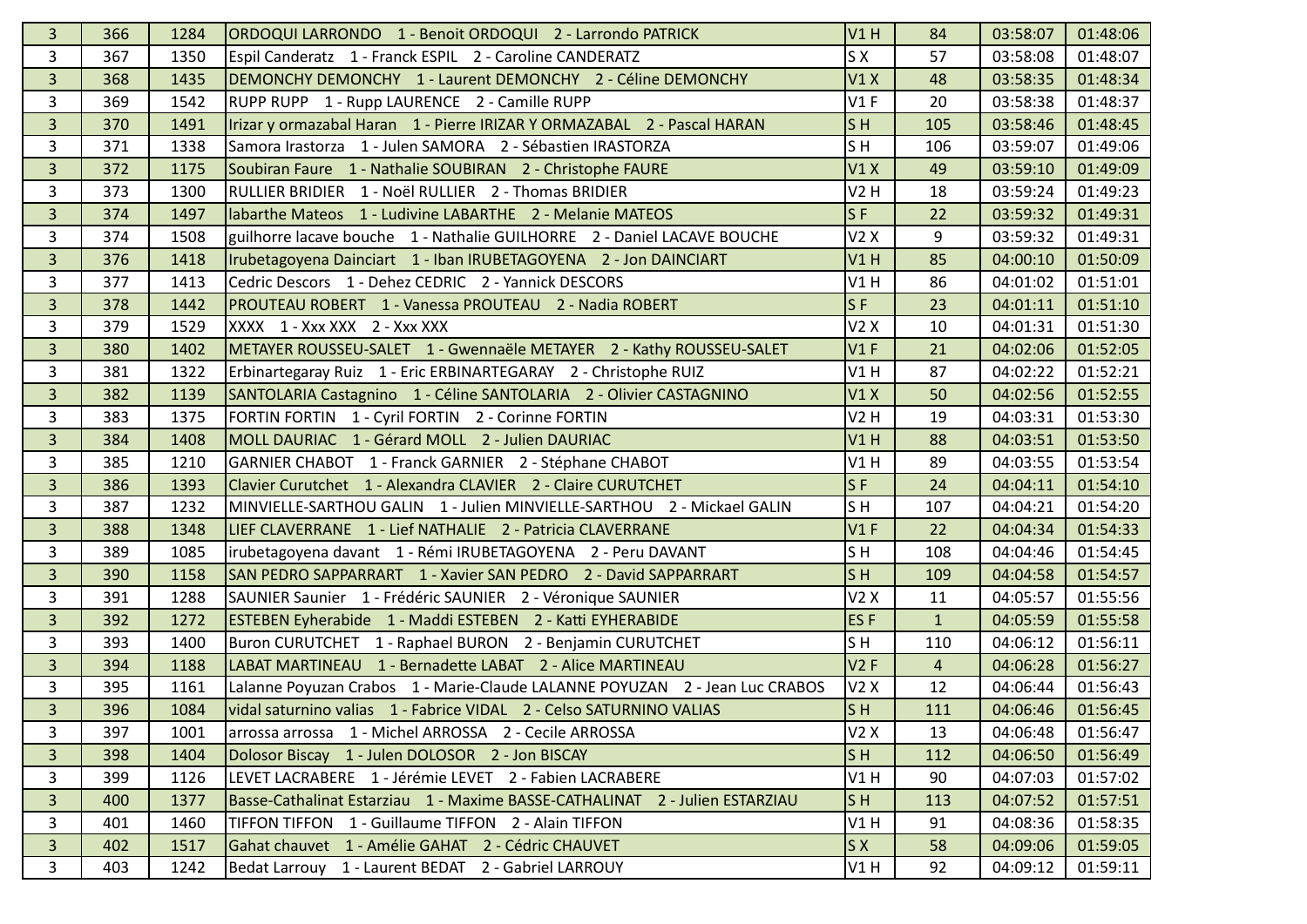| 3              | 366 | 1284 | ORDOQUI LARRONDO 1 - Benoit ORDOQUI 2 - Larrondo PATRICK                    | V1H                       | 84             | 03:58:07 | 01:48:06 |
|----------------|-----|------|-----------------------------------------------------------------------------|---------------------------|----------------|----------|----------|
| 3              | 367 | 1350 | Espil Canderatz 1 - Franck ESPIL 2 - Caroline CANDERATZ                     | S X                       | 57             | 03:58:08 | 01:48:07 |
| $\overline{3}$ | 368 | 1435 | DEMONCHY DEMONCHY 1 - Laurent DEMONCHY 2 - Céline DEMONCHY                  | V1X                       | 48             | 03:58:35 | 01:48:34 |
| 3              | 369 | 1542 | RUPP RUPP 1 - Rupp LAURENCE 2 - Camille RUPP                                | V1F                       | 20             | 03:58:38 | 01:48:37 |
| $\overline{3}$ | 370 | 1491 | Irizar y ormazabal Haran 1 - Pierre IRIZAR Y ORMAZABAL 2 - Pascal HARAN     | S <sub>H</sub>            | 105            | 03:58:46 | 01:48:45 |
| 3              | 371 | 1338 | Samora Irastorza 1 - Julen SAMORA 2 - Sébastien IRASTORZA                   | SH                        | 106            | 03:59:07 | 01:49:06 |
| $\overline{3}$ | 372 | 1175 | Soubiran Faure 1 - Nathalie SOUBIRAN 2 - Christophe FAURE                   | V1X                       | 49             | 03:59:10 | 01:49:09 |
| 3              | 373 | 1300 | RULLIER BRIDIER 1 - Noël RULLIER 2 - Thomas BRIDIER                         | V2H                       | 18             | 03:59:24 | 01:49:23 |
| $\overline{3}$ | 374 | 1497 | labarthe Mateos 1 - Ludivine LABARTHE 2 - Melanie MATEOS                    | S <sub>F</sub>            | 22             | 03:59:32 | 01:49:31 |
| 3              | 374 | 1508 | guilhorre lacave bouche 1 - Nathalie GUILHORRE 2 - Daniel LACAVE BOUCHE     | V2X                       | 9              | 03:59:32 | 01:49:31 |
| $\overline{3}$ | 376 | 1418 | Irubetagoyena Dainciart 1 - Iban IRUBETAGOYENA 2 - Jon DAINCIART            | V1H                       | 85             | 04:00:10 | 01:50:09 |
| 3              | 377 | 1413 | Cedric Descors 1 - Dehez CEDRIC 2 - Yannick DESCORS                         | V1H                       | 86             | 04:01:02 | 01:51:01 |
| $\overline{3}$ | 378 | 1442 | PROUTEAU ROBERT 1 - Vanessa PROUTEAU 2 - Nadia ROBERT                       | $S$ F                     | 23             | 04:01:11 | 01:51:10 |
| $\overline{3}$ | 379 | 1529 | XXXX 1 - Xxx XXX 2 - Xxx XXX                                                | V2X                       | 10             | 04:01:31 | 01:51:30 |
| $\overline{3}$ | 380 | 1402 | METAYER ROUSSEU-SALET   1 - Gwennaële METAYER   2 - Kathy ROUSSEU-SALET     | V1F                       | 21             | 04:02:06 | 01:52:05 |
| 3              | 381 | 1322 | Erbinartegaray Ruiz 1 - Eric ERBINARTEGARAY 2 - Christophe RUIZ             | V1H                       | 87             | 04:02:22 | 01:52:21 |
| $\overline{3}$ | 382 | 1139 | SANTOLARIA Castagnino 1 - Céline SANTOLARIA 2 - Olivier CASTAGNINO          | V1X                       | 50             | 04:02:56 | 01:52:55 |
| 3              | 383 | 1375 | FORTIN FORTIN 1 - Cyril FORTIN 2 - Corinne FORTIN                           | V2H                       | 19             | 04:03:31 | 01:53:30 |
| $\overline{3}$ | 384 | 1408 | MOLL DAURIAC 1 - Gérard MOLL 2 - Julien DAURIAC                             | V1H                       | 88             | 04:03:51 | 01:53:50 |
| 3              | 385 | 1210 | GARNIER CHABOT 1 - Franck GARNIER 2 - Stéphane CHABOT                       | V1H                       | 89             | 04:03:55 | 01:53:54 |
| $\overline{3}$ | 386 | 1393 | Clavier Curutchet 1 - Alexandra CLAVIER 2 - Claire CURUTCHET                | $S$ F                     | 24             | 04:04:11 | 01:54:10 |
| 3              | 387 | 1232 |                                                                             | SH                        | 107            | 04:04:21 | 01:54:20 |
| $\overline{3}$ | 388 | 1348 | LIEF CLAVERRANE 1 - Lief NATHALIE 2 - Patricia CLAVERRANE                   | V1F                       | 22             | 04:04:34 | 01:54:33 |
| 3              | 389 | 1085 | irubetagoyena davant 1 - Rémi IRUBETAGOYENA 2 - Peru DAVANT                 | S <sub>H</sub>            | 108            | 04:04:46 | 01:54:45 |
| $\overline{3}$ | 390 | 1158 | SAN PEDRO SAPPARRART 1 - Xavier SAN PEDRO 2 - David SAPPARRART              | S <sub>H</sub>            | 109            | 04:04:58 | 01:54:57 |
| 3              | 391 | 1288 | SAUNIER Saunier 1 - Frédéric SAUNIER 2 - Véronique SAUNIER                  | V2X                       | 11             | 04:05:57 | 01:55:56 |
| $\overline{3}$ | 392 | 1272 | ESTEBEN Eyherabide 1 - Maddi ESTEBEN 2 - Katti EYHERABIDE                   | ES <sub>F</sub>           | $\mathbf{1}$   | 04:05:59 | 01:55:58 |
| 3              | 393 | 1400 | Buron CURUTCHET 1 - Raphael BURON 2 - Benjamin CURUTCHET                    | SH                        | 110            | 04:06:12 | 01:56:11 |
| $\overline{3}$ | 394 | 1188 | LABAT MARTINEAU 1 - Bernadette LABAT 2 - Alice MARTINEAU                    | V2F                       | $\overline{4}$ | 04:06:28 | 01:56:27 |
| 3              | 395 | 1161 | Lalanne Poyuzan Crabos 1 - Marie-Claude LALANNE POYUZAN 2 - Jean Luc CRABOS | V2X                       | 12             | 04:06:44 | 01:56:43 |
| $\overline{3}$ | 396 | 1084 | vidal saturnino valias 1 - Fabrice VIDAL 2 - Celso SATURNINO VALIAS         | $\overline{\mathsf{S}}$ H | 111            | 04:06:46 | 01:56:45 |
| 3              | 397 | 1001 | arrossa arrossa 1 - Michel ARROSSA 2 - Cecile ARROSSA                       | V2X                       | 13             | 04:06:48 | 01:56:47 |
| $\overline{3}$ | 398 | 1404 | Dolosor Biscay 1 - Julen DOLOSOR 2 - Jon BISCAY                             | SH                        | 112            | 04:06:50 | 01:56:49 |
| 3              | 399 | 1126 | LEVET LACRABERE 1 - Jérémie LEVET 2 - Fabien LACRABERE                      | V1H                       | 90             | 04:07:03 | 01:57:02 |
| 3 <sup>1</sup> | 400 | 1377 | Basse-Cathalinat Estarziau 1 - Maxime BASSE-CATHALINAT 2 - Julien ESTARZIAU | S <sub>H</sub>            | 113            | 04:07:52 | 01:57:51 |
| 3              | 401 | 1460 | TIFFON TIFFON 1 - Guillaume TIFFON 2 - Alain TIFFON                         | V1H                       | 91             | 04:08:36 | 01:58:35 |
| 3 <sup>1</sup> | 402 | 1517 | Gahat chauvet 1 - Amélie GAHAT 2 - Cédric CHAUVET                           | S X                       | 58             | 04:09:06 | 01:59:05 |
| 3              | 403 | 1242 | Bedat Larrouy 1 - Laurent BEDAT 2 - Gabriel LARROUY                         | V1H                       | 92             | 04:09:12 | 01:59:11 |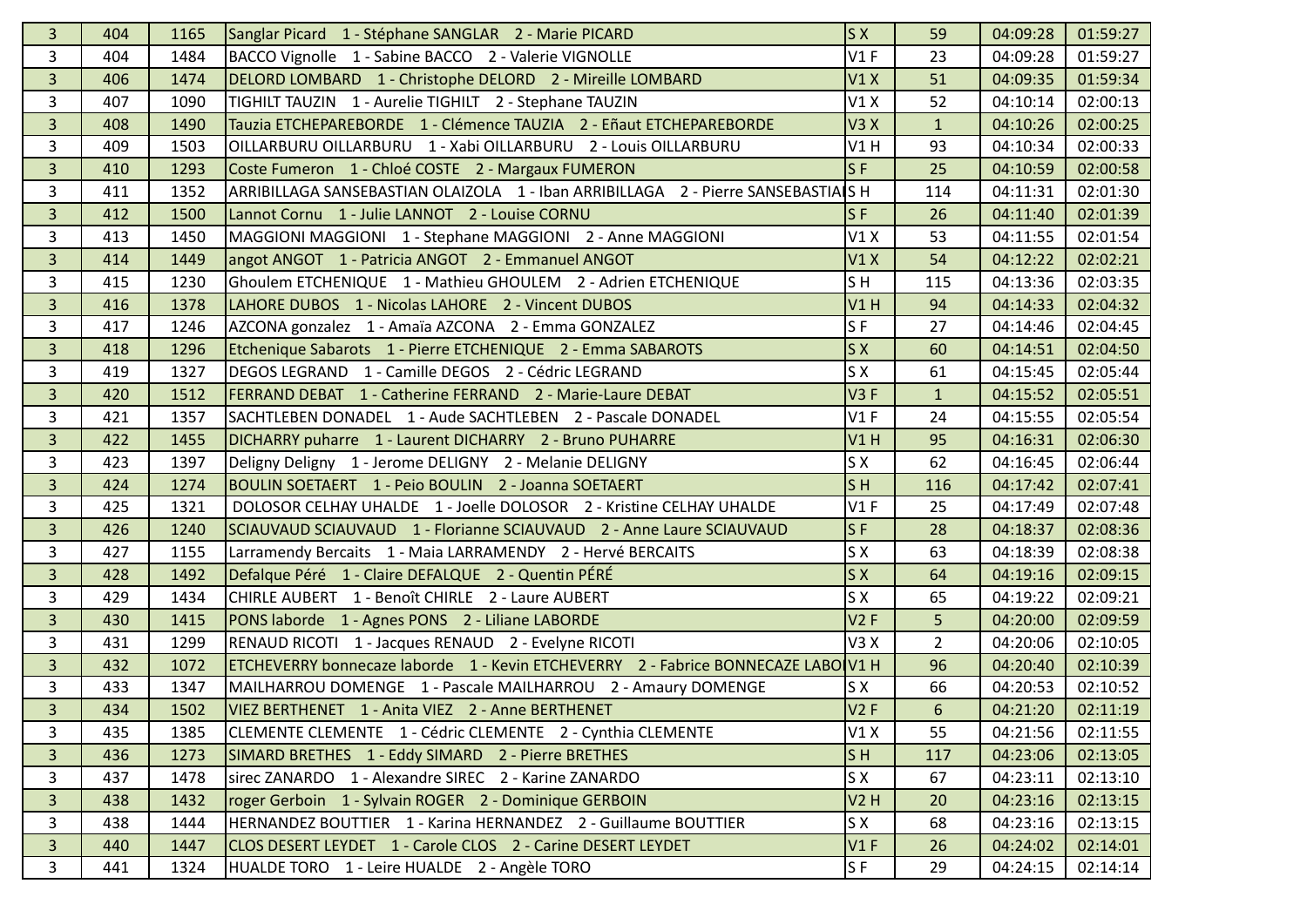| 3              | 404 | 1165 | Sanglar Picard 1 - Stéphane SANGLAR 2 - Marie PICARD                              | S X            | 59             | 04:09:28 | 01:59:27 |
|----------------|-----|------|-----------------------------------------------------------------------------------|----------------|----------------|----------|----------|
| 3              | 404 | 1484 | BACCO Vignolle 1 - Sabine BACCO 2 - Valerie VIGNOLLE                              | V1F            | 23             | 04:09:28 | 01:59:27 |
| $\overline{3}$ | 406 | 1474 | DELORD LOMBARD 1 - Christophe DELORD 2 - Mireille LOMBARD                         | V1X            | 51             | 04:09:35 | 01:59:34 |
| 3              | 407 | 1090 | TIGHILT TAUZIN 1 - Aurelie TIGHILT 2 - Stephane TAUZIN                            | V1X            | 52             | 04:10:14 | 02:00:13 |
| $\overline{3}$ | 408 | 1490 | Tauzia ETCHEPAREBORDE 1 - Clémence TAUZIA 2 - Eñaut ETCHEPAREBORDE                | V3X            | $\mathbf{1}$   | 04:10:26 | 02:00:25 |
| 3              | 409 | 1503 | OILLARBURU OILLARBURU 1 - Xabi OILLARBURU 2 - Louis OILLARBURU                    | V1H            | 93             | 04:10:34 | 02:00:33 |
| $\overline{3}$ | 410 | 1293 | Coste Fumeron 1 - Chloé COSTE 2 - Margaux FUMERON                                 | $S$ F          | 25             | 04:10:59 | 02:00:58 |
| 3              | 411 | 1352 | ARRIBILLAGA SANSEBASTIAN OLAIZOLA 1 - Iban ARRIBILLAGA 2 - Pierre SANSEBASTIAIS H |                | 114            | 04:11:31 | 02:01:30 |
| $\overline{3}$ | 412 | 1500 | Lannot Cornu 1 - Julie LANNOT 2 - Louise CORNU                                    | $S$ F          | 26             | 04:11:40 | 02:01:39 |
| 3              | 413 | 1450 | MAGGIONI MAGGIONI 1 - Stephane MAGGIONI 2 - Anne MAGGIONI                         | V1X            | 53             | 04:11:55 | 02:01:54 |
| $\overline{3}$ | 414 | 1449 | angot ANGOT 1 - Patricia ANGOT 2 - Emmanuel ANGOT                                 | V1X            | 54             | 04:12:22 | 02:02:21 |
| 3              | 415 | 1230 | Ghoulem ETCHENIQUE 1 - Mathieu GHOULEM 2 - Adrien ETCHENIQUE                      | S <sub>H</sub> | 115            | 04:13:36 | 02:03:35 |
| $\overline{3}$ | 416 | 1378 | LAHORE DUBOS 1 - Nicolas LAHORE 2 - Vincent DUBOS                                 | V1H            | 94             | 04:14:33 | 02:04:32 |
| 3              | 417 | 1246 | AZCONA gonzalez 1 - Amaïa AZCONA 2 - Emma GONZALEZ                                | S <sub>F</sub> | 27             | 04:14:46 | 02:04:45 |
| $\overline{3}$ | 418 | 1296 | Etchenique Sabarots 1 - Pierre ETCHENIQUE 2 - Emma SABAROTS                       | S X            | 60             | 04:14:51 | 02:04:50 |
| 3              | 419 | 1327 | DEGOS LEGRAND 1 - Camille DEGOS 2 - Cédric LEGRAND                                | S X            | 61             | 04:15:45 | 02:05:44 |
| $\overline{3}$ | 420 | 1512 | FERRAND DEBAT 1 - Catherine FERRAND 2 - Marie-Laure DEBAT                         | V3F            | $\mathbf{1}$   | 04:15:52 | 02:05:51 |
| 3              | 421 | 1357 | SACHTLEBEN DONADEL 1 - Aude SACHTLEBEN 2 - Pascale DONADEL                        | V1F            | 24             | 04:15:55 | 02:05:54 |
| $\overline{3}$ | 422 | 1455 | DICHARRY puharre 1 - Laurent DICHARRY 2 - Bruno PUHARRE                           | V1H            | 95             | 04:16:31 | 02:06:30 |
| 3              | 423 | 1397 | Deligny Deligny 1 - Jerome DELIGNY 2 - Melanie DELIGNY                            | S X            | 62             | 04:16:45 | 02:06:44 |
| $\overline{3}$ | 424 | 1274 | BOULIN SOETAERT 1 - Peio BOULIN 2 - Joanna SOETAERT                               | S <sub>H</sub> | 116            | 04:17:42 | 02:07:41 |
| 3              | 425 | 1321 | DOLOSOR CELHAY UHALDE 1 - Joelle DOLOSOR 2 - Kristine CELHAY UHALDE               | V1F            | 25             | 04:17:49 | 02:07:48 |
| $\overline{3}$ | 426 | 1240 | SCIAUVAUD SCIAUVAUD 1 - Florianne SCIAUVAUD 2 - Anne Laure SCIAUVAUD              | S <sub>F</sub> | 28             | 04:18:37 | 02:08:36 |
| 3              | 427 | 1155 | Larramendy Bercaits 1 - Maia LARRAMENDY 2 - Hervé BERCAITS                        | S X            | 63             | 04:18:39 | 02:08:38 |
| $\overline{3}$ | 428 | 1492 | Defalque Péré 1 - Claire DEFALQUE 2 - Quentin PÉRÉ                                | <b>SX</b>      | 64             | 04:19:16 | 02:09:15 |
| 3              | 429 | 1434 | CHIRLE AUBERT 1 - Benoît CHIRLE 2 - Laure AUBERT                                  | S X            | 65             | 04:19:22 | 02:09:21 |
| 3              | 430 | 1415 | PONS laborde 1 - Agnes PONS 2 - Liliane LABORDE                                   | V2F            | 5              | 04:20:00 | 02:09:59 |
| 3              | 431 | 1299 | RENAUD RICOTI 1 - Jacques RENAUD 2 - Evelyne RICOTI                               | V3X            | $\overline{2}$ | 04:20:06 | 02:10:05 |
| $\overline{3}$ | 432 | 1072 | ETCHEVERRY bonnecaze laborde 1 - Kevin ETCHEVERRY 2 - Fabrice BONNECAZE LABO V1 H |                | 96             | 04:20:40 | 02:10:39 |
| 3              | 433 | 1347 | MAILHARROU DOMENGE 1 - Pascale MAILHARROU 2 - Amaury DOMENGE                      | S X            | 66             | 04:20:53 | 02:10:52 |
| $\overline{3}$ | 434 | 1502 | VIEZ BERTHENET 1 - Anita VIEZ 2 - Anne BERTHENET                                  | V2F            | $6\phantom{1}$ | 04:21:20 | 02:11:19 |
| 3              | 435 | 1385 | CLEMENTE CLEMENTE 1 - Cédric CLEMENTE 2 - Cynthia CLEMENTE                        | V1X            | 55             | 04:21:56 | 02:11:55 |
| $\overline{3}$ | 436 | 1273 | SIMARD BRETHES 1 - Eddy SIMARD 2 - Pierre BRETHES                                 | S <sub>H</sub> | 117            | 04:23:06 | 02:13:05 |
| 3              | 437 | 1478 | sirec ZANARDO 1 - Alexandre SIREC 2 - Karine ZANARDO                              | S X            | 67             | 04:23:11 | 02:13:10 |
| $\overline{3}$ | 438 | 1432 | roger Gerboin 1 - Sylvain ROGER 2 - Dominique GERBOIN                             | V2H            | 20             | 04:23:16 | 02:13:15 |
| 3              | 438 | 1444 | HERNANDEZ BOUTTIER 1 - Karina HERNANDEZ 2 - Guillaume BOUTTIER                    | S X            | 68             | 04:23:16 | 02:13:15 |
| 3 <sup>1</sup> | 440 | 1447 | CLOS DESERT LEYDET 1 - Carole CLOS 2 - Carine DESERT LEYDET                       | V1F            | 26             | 04:24:02 | 02:14:01 |
| 3              | 441 | 1324 | HUALDE TORO 1 - Leire HUALDE 2 - Angèle TORO                                      | S <sub>F</sub> | 29             | 04:24:15 | 02:14:14 |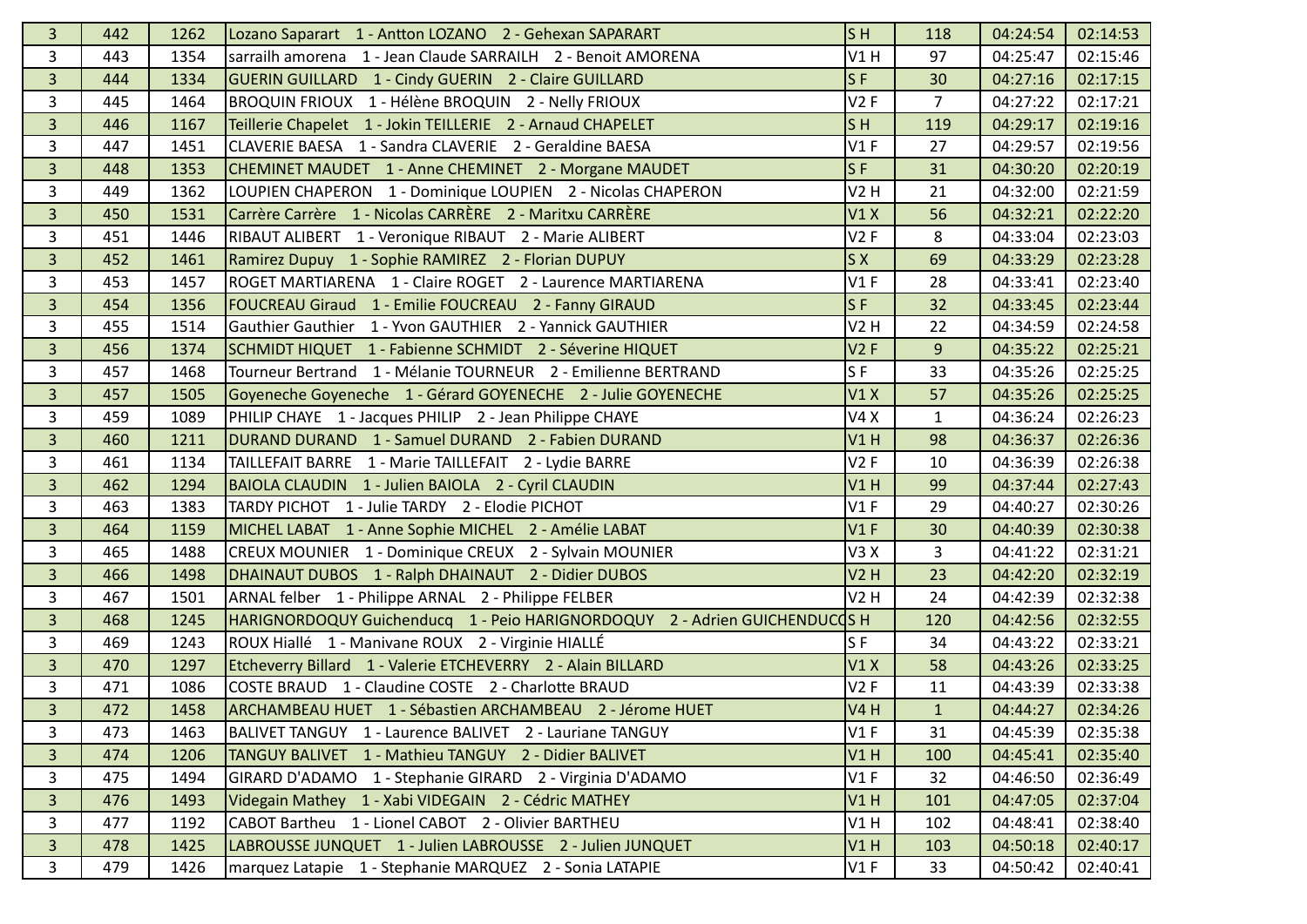| $\overline{3}$ | 442 | 1262 | Lozano Saparart 1 - Antton LOZANO 2 - Gehexan SAPARART                     | S <sub>H</sub> | 118            | 04:24:54 | 02:14:53 |
|----------------|-----|------|----------------------------------------------------------------------------|----------------|----------------|----------|----------|
| 3              | 443 | 1354 | sarrailh amorena 1 - Jean Claude SARRAILH 2 - Benoit AMORENA               | V1H            | 97             | 04:25:47 | 02:15:46 |
| 3              | 444 | 1334 | GUERIN GUILLARD 1 - Cindy GUERIN 2 - Claire GUILLARD                       | SF             | 30             | 04:27:16 | 02:17:15 |
| 3              | 445 | 1464 | BROQUIN FRIOUX 1 - Hélène BROQUIN 2 - Nelly FRIOUX                         | V2F            | $\overline{7}$ | 04:27:22 | 02:17:21 |
| $\overline{3}$ | 446 | 1167 | Teillerie Chapelet 1 - Jokin TEILLERIE 2 - Arnaud CHAPELET                 | S <sub>H</sub> | 119            | 04:29:17 | 02:19:16 |
| 3              | 447 | 1451 | CLAVERIE BAESA 1 - Sandra CLAVERIE 2 - Geraldine BAESA                     | V1F            | 27             | 04:29:57 | 02:19:56 |
| $\overline{3}$ | 448 | 1353 | CHEMINET MAUDET 1 - Anne CHEMINET 2 - Morgane MAUDET                       | $S$ F          | 31             | 04:30:20 | 02:20:19 |
| 3              | 449 | 1362 | LOUPIEN CHAPERON 1 - Dominique LOUPIEN 2 - Nicolas CHAPERON                | <b>V2 H</b>    | 21             | 04:32:00 | 02:21:59 |
| $\overline{3}$ | 450 | 1531 | Carrère Carrère 1 - Nicolas CARRÈRE 2 - Maritxu CARRÈRE                    | V1X            | 56             | 04:32:21 | 02:22:20 |
| 3              | 451 | 1446 | RIBAUT ALIBERT 1 - Veronique RIBAUT 2 - Marie ALIBERT                      | V2F            | 8              | 04:33:04 | 02:23:03 |
| $\overline{3}$ | 452 | 1461 | Ramirez Dupuy 1 - Sophie RAMIREZ 2 - Florian DUPUY                         | S X            | 69             | 04:33:29 | 02:23:28 |
| 3              | 453 | 1457 | ROGET MARTIARENA 1 - Claire ROGET 2 - Laurence MARTIARENA                  | V1F            | 28             | 04:33:41 | 02:23:40 |
| 3              | 454 | 1356 | FOUCREAU Giraud 1 - Emilie FOUCREAU 2 - Fanny GIRAUD                       | S <sub>F</sub> | 32             | 04:33:45 | 02:23:44 |
| 3              | 455 | 1514 | Gauthier Gauthier 1 - Yvon GAUTHIER 2 - Yannick GAUTHIER                   | V2H            | 22             | 04:34:59 | 02:24:58 |
| $\overline{3}$ | 456 | 1374 | SCHMIDT HIQUET 1 - Fabienne SCHMIDT 2 - Séverine HIQUET                    | V2F            | 9              | 04:35:22 | 02:25:21 |
| 3              | 457 | 1468 | Tourneur Bertrand 1 - Mélanie TOURNEUR 2 - Emilienne BERTRAND              | SF             | 33             | 04:35:26 | 02:25:25 |
| $\overline{3}$ | 457 | 1505 | Goyeneche Goyeneche 1 - Gérard GOYENECHE 2 - Julie GOYENECHE               | V1X            | 57             | 04:35:26 | 02:25:25 |
| 3              | 459 | 1089 | PHILIP CHAYE 1 - Jacques PHILIP 2 - Jean Philippe CHAYE                    | V4X            | $\mathbf{1}$   | 04:36:24 | 02:26:23 |
| $\overline{3}$ | 460 | 1211 | DURAND DURAND 1 - Samuel DURAND 2 - Fabien DURAND                          | V1H            | 98             | 04:36:37 | 02:26:36 |
| 3              | 461 | 1134 | TAILLEFAIT BARRE 1 - Marie TAILLEFAIT 2 - Lydie BARRE                      | V2F            | 10             | 04:36:39 | 02:26:38 |
| $\overline{3}$ | 462 | 1294 | BAIOLA CLAUDIN 1 - Julien BAIOLA 2 - Cyril CLAUDIN                         | V1H            | 99             | 04:37:44 | 02:27:43 |
| 3              | 463 | 1383 | TARDY PICHOT 1 - Julie TARDY 2 - Elodie PICHOT                             | V1F            | 29             | 04:40:27 | 02:30:26 |
| $\overline{3}$ | 464 | 1159 | MICHEL LABAT 1 - Anne Sophie MICHEL 2 - Amélie LABAT                       | V1F            | 30             | 04:40:39 | 02:30:38 |
| 3              | 465 | 1488 | CREUX MOUNIER 1 - Dominique CREUX 2 - Sylvain MOUNIER                      | V3X            | 3              | 04:41:22 | 02:31:21 |
| $\overline{3}$ | 466 | 1498 | DHAINAUT DUBOS 1 - Ralph DHAINAUT 2 - Didier DUBOS                         | V2H            | 23             | 04:42:20 | 02:32:19 |
| 3              | 467 | 1501 | ARNAL felber 1 - Philippe ARNAL 2 - Philippe FELBER                        | <b>V2 H</b>    | 24             | 04:42:39 | 02:32:38 |
| $\overline{3}$ | 468 | 1245 | HARIGNORDOQUY Guichenducq 1 - Peio HARIGNORDOQUY 2 - Adrien GUICHENDUCOS H |                | 120            | 04:42:56 | 02:32:55 |
| 3              | 469 | 1243 | ROUX Hiallé 1 - Manivane ROUX 2 - Virginie HIALLÉ                          | S <sub>F</sub> | 34             | 04:43:22 | 02:33:21 |
| $\overline{3}$ | 470 | 1297 | Etcheverry Billard 1 - Valerie ETCHEVERRY 2 - Alain BILLARD                | V1X            | 58             | 04:43:26 | 02:33:25 |
| 3              | 471 | 1086 | COSTE BRAUD 1 - Claudine COSTE 2 - Charlotte BRAUD                         | V2F            | 11             | 04:43:39 | 02:33:38 |
| $\overline{3}$ | 472 | 1458 | ARCHAMBEAU HUET 1 - Sébastien ARCHAMBEAU 2 - Jérome HUET                   | <b>V4 H</b>    | $\mathbf{1}$   | 04:44:27 | 02:34:26 |
| 3              | 473 | 1463 | BALIVET TANGUY 1 - Laurence BALIVET 2 - Lauriane TANGUY                    | V1F            | 31             | 04:45:39 | 02:35:38 |
| $\overline{3}$ | 474 | 1206 | TANGUY BALIVET 1 - Mathieu TANGUY 2 - Didier BALIVET                       | V1H            | 100            | 04:45:41 | 02:35:40 |
| $\mathbf{3}$   | 475 | 1494 | GIRARD D'ADAMO 1 - Stephanie GIRARD 2 - Virginia D'ADAMO                   | V1F            | 32             | 04:46:50 | 02:36:49 |
| $\overline{3}$ | 476 | 1493 | Videgain Mathey 1 - Xabi VIDEGAIN 2 - Cédric MATHEY                        | V1H            | 101            | 04:47:05 | 02:37:04 |
| 3              | 477 | 1192 | CABOT Bartheu 1 - Lionel CABOT 2 - Olivier BARTHEU                         | V1H            | 102            | 04:48:41 | 02:38:40 |
| $\overline{3}$ | 478 | 1425 | LABROUSSE JUNQUET 1 - Julien LABROUSSE 2 - Julien JUNQUET                  | V1H            | 103            | 04:50:18 | 02:40:17 |
| 3              | 479 | 1426 | marquez Latapie 1 - Stephanie MARQUEZ 2 - Sonia LATAPIE                    | V1F            | 33             | 04:50:42 | 02:40:41 |